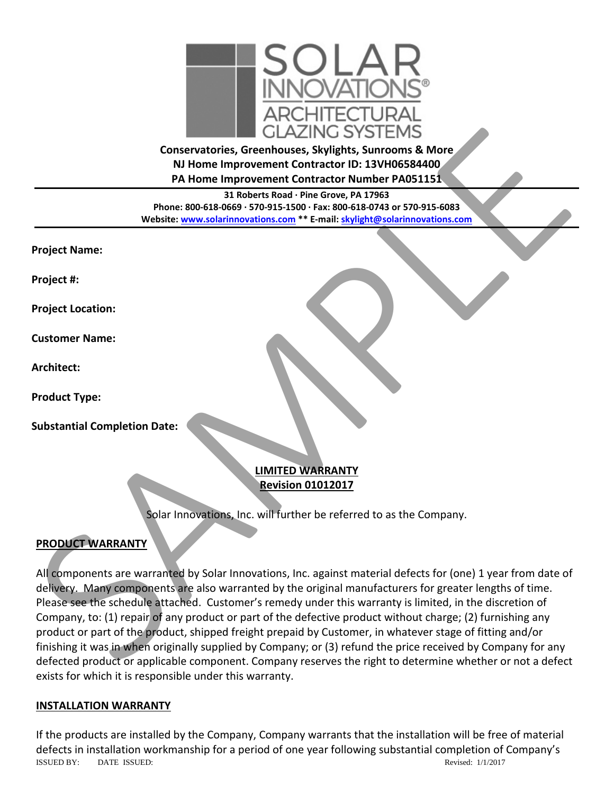

**Conservatories, Greenhouses, Skylights, Sunrooms & More NJ Home Improvement Contractor ID: 13VH06584400 PA Home Improvement Contractor Number PA051151**

**31 Roberts Road · Pine Grove, PA 17963 Phone: 800-618-0669 · 570-915-1500 · Fax: 800-618-0743 or 570-915-6083 Website: www.solarinnovations.com \*\* E-mail: skylight@solarinnovations.com**

**Project Name:**

**Project #:**

**Project Location:**

**Customer Name:**

**Architect:**

**Product Type:**

**Substantial Completion Date:**

### **LIMITED WARRANTY Revision 01012017**

Solar Innovations, Inc. will further be referred to as the Company.

# **PRODUCT WARRANTY**

All components are warranted by Solar Innovations, Inc. against material defects for (one) 1 year from date of delivery. Many components are also warranted by the original manufacturers for greater lengths of time. Please see the schedule attached. Customer's remedy under this warranty is limited, in the discretion of Company, to: (1) repair of any product or part of the defective product without charge; (2) furnishing any product or part of the product, shipped freight prepaid by Customer, in whatever stage of fitting and/or finishing it was in when originally supplied by Company; or (3) refund the price received by Company for any defected product or applicable component. Company reserves the right to determine whether or not a defect exists for which it is responsible under this warranty. Conservatories, Greenhouses, Skylights, Surrooms & More<br>
Michael Improvement Contractor DL: 194V06584400<br>
A Home Improvement Contractor Number PA051155.<br>
Phane: 806.618-0669-20151540-1-54: 806-618-07419658-400<br>
Phane: 806.

#### **INSTALLATION WARRANTY**

ISSUED BY: DATE ISSUED: Revised: 1/1/2017 If the products are installed by the Company, Company warrants that the installation will be free of material defects in installation workmanship for a period of one year following substantial completion of Company's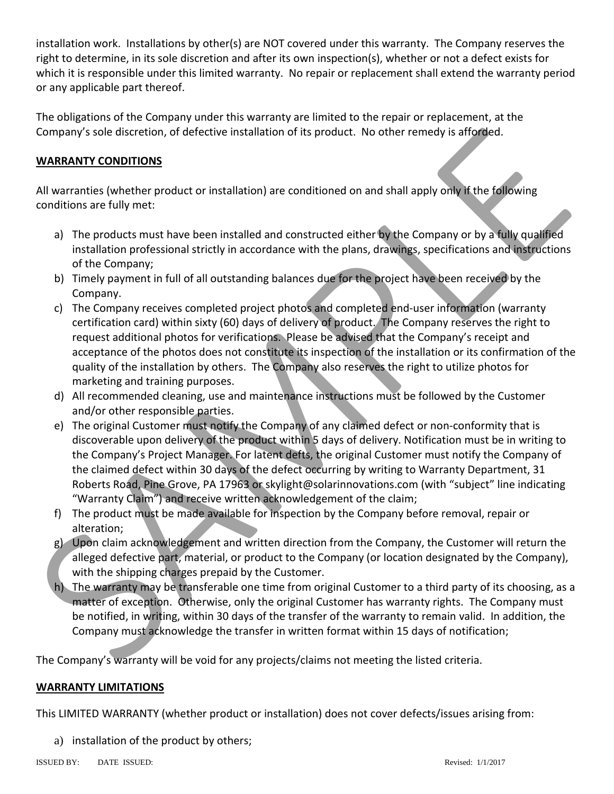installation work. Installations by other(s) are NOT covered under this warranty. The Company reserves the right to determine, in its sole discretion and after its own inspection(s), whether or not a defect exists for which it is responsible under this limited warranty. No repair or replacement shall extend the warranty period or any applicable part thereof.

The obligations of the Company under this warranty are limited to the repair or replacement, at the Company's sole discretion, of defective installation of its product. No other remedy is afforded.

# **WARRANTY CONDITIONS**

All warranties (whether product or installation) are conditioned on and shall apply only if the following conditions are fully met:

- a) The products must have been installed and constructed either by the Company or by a fully qualified installation professional strictly in accordance with the plans, drawings, specifications and instructions of the Company;
- b) Timely payment in full of all outstanding balances due for the project have been received by the Company.
- c) The Company receives completed project photos and completed end-user information (warranty certification card) within sixty (60) days of delivery of product. The Company reserves the right to request additional photos for verifications. Please be advised that the Company's receipt and acceptance of the photos does not constitute its inspection of the installation or its confirmation of the quality of the installation by others. The Company also reserves the right to utilize photos for marketing and training purposes. Company's sole discretion, of defective installation of its product. No other remedy is afforded.<br> **MARANIY CONDITIONS**<br>
All warrantics (whether product or installation) are conditioned on and shall apply only l'(the Color
	- d) All recommended cleaning, use and maintenance instructions must be followed by the Customer and/or other responsible parties.
	- e) The original Customer must notify the Company of any claimed defect or non-conformity that is discoverable upon delivery of the product within 5 days of delivery. Notification must be in writing to the Company's Project Manager. For latent defts, the original Customer must notify the Company of the claimed defect within 30 days of the defect occurring by writing to Warranty Department, 31 Roberts Road, Pine Grove, PA 17963 or skylight@solarinnovations.com (with "subject" line indicating "Warranty Claim") and receive written acknowledgement of the claim;
	- f) The product must be made available for inspection by the Company before removal, repair or alteration;
	- g) Upon claim acknowledgement and written direction from the Company, the Customer will return the alleged defective part, material, or product to the Company (or location designated by the Company), with the shipping charges prepaid by the Customer.
	- h) The warranty may be transferable one time from original Customer to a third party of its choosing, as a matter of exception. Otherwise, only the original Customer has warranty rights. The Company must be notified, in writing, within 30 days of the transfer of the warranty to remain valid. In addition, the Company must acknowledge the transfer in written format within 15 days of notification;

The Company's warranty will be void for any projects/claims not meeting the listed criteria.

### **WARRANTY LIMITATIONS**

This LIMITED WARRANTY (whether product or installation) does not cover defects/issues arising from:

a) installation of the product by others;

ISSUED BY: DATE ISSUED: Revised: 1/1/2017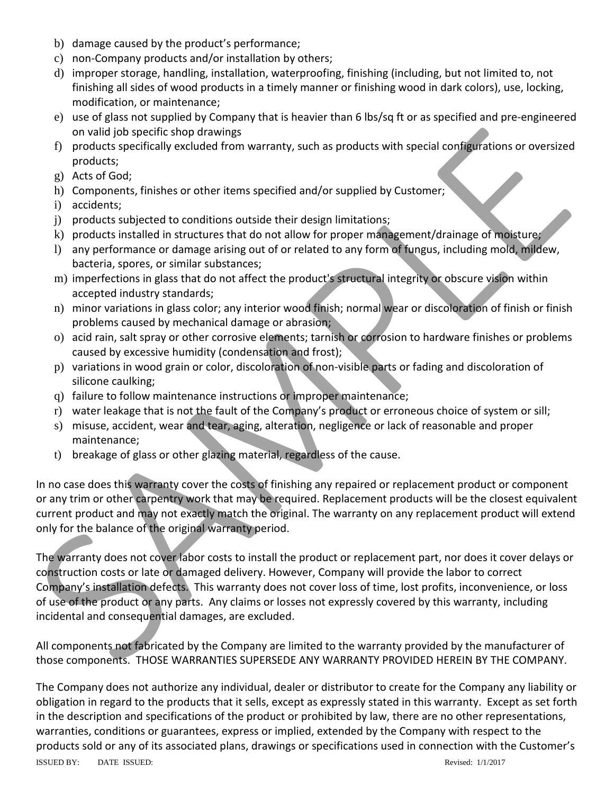- b) damage caused by the product's performance;
- c) non-Company products and/or installation by others;
- d) improper storage, handling, installation, waterproofing, finishing (including, but not limited to, not finishing all sides of wood products in a timely manner or finishing wood in dark colors), use, locking, modification, or maintenance;
- e) use of glass not supplied by Company that is heavier than 6 lbs/sq ft or as specified and pre-engineered on valid job specific shop drawings
- f) products specifically excluded from warranty, such as products with special configurations or oversized products;
- g) Acts of God;
- h) Components, finishes or other items specified and/or supplied by Customer;
- i) accidents;
- j) products subjected to conditions outside their design limitations;
- k) products installed in structures that do not allow for proper management/drainage of moisture;
- l) any performance or damage arising out of or related to any form of fungus, including mold, mildew, bacteria, spores, or similar substances;
- m) imperfections in glass that do not affect the product's structural integrity or obscure vision within accepted industry standards;
- n) minor variations in glass color; any interior wood finish; normal wear or discoloration of finish or finish problems caused by mechanical damage or abrasion;
- o) acid rain, salt spray or other corrosive elements; tarnish or corrosion to hardware finishes or problems caused by excessive humidity (condensation and frost);
- p) variations in wood grain or color, discoloration of non-visible parts or fading and discoloration of silicone caulking;
- q) failure to follow maintenance instructions or improper maintenance;
- r) water leakage that is not the fault of the Company's product or erroneous choice of system or sill;
- s) misuse, accident, wear and tear, aging, alteration, negligence or lack of reasonable and proper maintenance;
- t) breakage of glass or other glazing material, regardless of the cause.

In no case does this warranty cover the costs of finishing any repaired or replacement product or component or any trim or other carpentry work that may be required. Replacement products will be the closest equivalent current product and may not exactly match the original. The warranty on any replacement product will extend only for the balance of the original warranty period.

The warranty does not cover labor costs to install the product or replacement part, nor does it cover delays or construction costs or late or damaged delivery. However, Company will provide the labor to correct Company's installation defects. This warranty does not cover loss of time, lost profits, inconvenience, or loss of use of the product or any parts. Any claims or losses not expressly covered by this warranty, including incidental and consequential damages, are excluded. on valid job specific shop drawings<br>
in products specifically excluded from warranty, such as products with special configurations or oversized<br>
gy Acts of God;<br>
b) components, finishs or other licrens specified and/or sup

All components not fabricated by the Company are limited to the warranty provided by the manufacturer of those components. THOSE WARRANTIES SUPERSEDE ANY WARRANTY PROVIDED HEREIN BY THE COMPANY.

The Company does not authorize any individual, dealer or distributor to create for the Company any liability or obligation in regard to the products that it sells, except as expressly stated in this warranty. Except as set forth in the description and specifications of the product or prohibited by law, there are no other representations, warranties, conditions or guarantees, express or implied, extended by the Company with respect to the products sold or any of its associated plans, drawings or specifications used in connection with the Customer's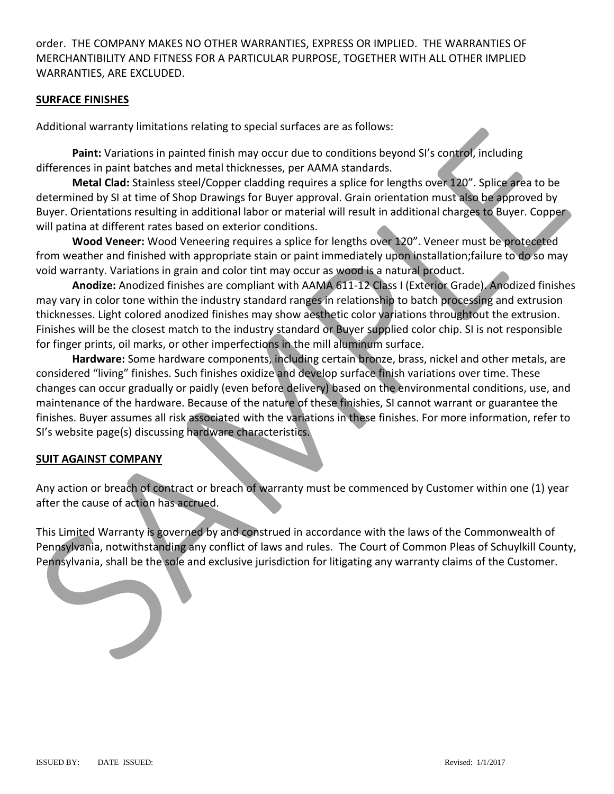order. THE COMPANY MAKES NO OTHER WARRANTIES, EXPRESS OR IMPLIED. THE WARRANTIES OF MERCHANTIBILITY AND FITNESS FOR A PARTICULAR PURPOSE, TOGETHER WITH ALL OTHER IMPLIED WARRANTIES, ARE EXCLUDED.

#### **SURFACE FINISHES**

Additional warranty limitations relating to special surfaces are as follows:

**Paint:** Variations in painted finish may occur due to conditions beyond SI's control, including differences in paint batches and metal thicknesses, per AAMA standards.

**Metal Clad:** Stainless steel/Copper cladding requires a splice for lengths over 120". Splice area to be determined by SI at time of Shop Drawings for Buyer approval. Grain orientation must also be approved by Buyer. Orientations resulting in additional labor or material will result in additional charges to Buyer. Copper will patina at different rates based on exterior conditions.

**Wood Veneer:** Wood Veneering requires a splice for lengths over 120". Veneer must be proteceted from weather and finished with appropriate stain or paint immediately upon installation;failure to do so may void warranty. Variations in grain and color tint may occur as wood is a natural product.

**Anodize:** Anodized finishes are compliant with AAMA 611-12 Class I (Exterior Grade). Anodized finishes may vary in color tone within the industry standard ranges in relationship to batch processing and extrusion thicknesses. Light colored anodized finishes may show aesthetic color variations throughtout the extrusion. Finishes will be the closest match to the industry standard or Buyer supplied color chip. SI is not responsible for finger prints, oil marks, or other imperfections in the mill aluminum surface.

**Hardware:** Some hardware components, including certain bronze, brass, nickel and other metals, are considered "living" finishes. Such finishes oxidize and develop surface finish variations over time. These changes can occur gradually or paidly (even before delivery) based on the environmental conditions, use, and maintenance of the hardware. Because of the nature of these finishies, SI cannot warrant or guarantee the finishes. Buyer assumes all risk associated with the variations in these finishes. For more information, refer to SI's website page(s) discussing hardware characteristics. Additional warfanty limitediotis readiult by appears strates are as ioliows:<br>
Planck transitions in painted finish may occur due to conditions beyond S1's control. Including<br>differences in paint batches steel (Copper cabdi

#### **SUIT AGAINST COMPANY**

Any action or breach of contract or breach of warranty must be commenced by Customer within one (1) year after the cause of action has accrued.

This Limited Warranty is governed by and construed in accordance with the laws of the Commonwealth of Pennsylvania, notwithstanding any conflict of laws and rules. The Court of Common Pleas of Schuylkill County, Pennsylvania, shall be the sole and exclusive jurisdiction for litigating any warranty claims of the Customer.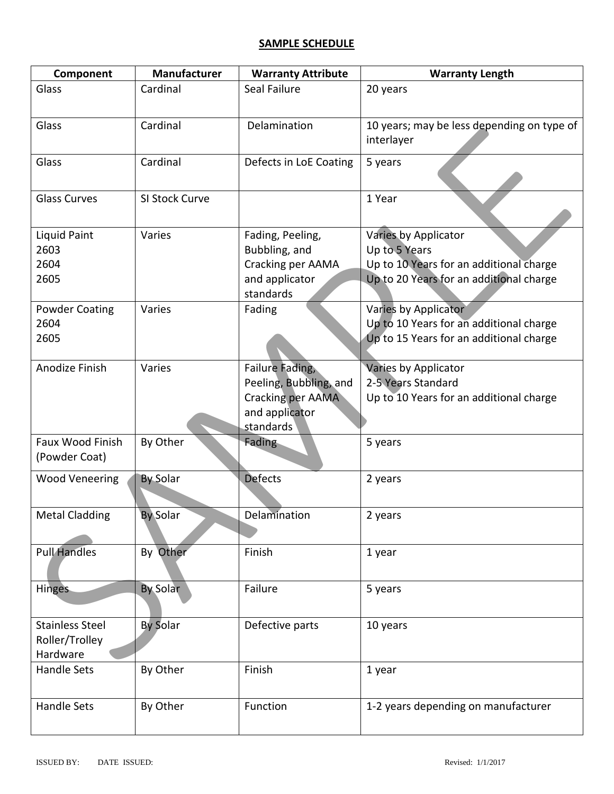# **SAMPLE SCHEDULE**

| Component                                            | <b>Manufacturer</b> | <b>Warranty Attribute</b>                                                                     | <b>Warranty Length</b>                                                                                                      |
|------------------------------------------------------|---------------------|-----------------------------------------------------------------------------------------------|-----------------------------------------------------------------------------------------------------------------------------|
| Glass                                                | Cardinal            | Seal Failure                                                                                  | 20 years                                                                                                                    |
| Glass                                                | Cardinal            | Delamination                                                                                  | 10 years; may be less depending on type of<br>interlayer                                                                    |
| Glass                                                | Cardinal            | Defects in LoE Coating                                                                        | 5 years                                                                                                                     |
| <b>Glass Curves</b>                                  | SI Stock Curve      |                                                                                               | 1 Year                                                                                                                      |
| Liquid Paint<br>2603<br>2604<br>2605                 | Varies              | Fading, Peeling,<br>Bubbling, and<br>Cracking per AAMA<br>and applicator<br>standards         | Varies by Applicator<br>Up to 5 Years<br>Up to 10 Years for an additional charge<br>Up to 20 Years for an additional charge |
| <b>Powder Coating</b><br>2604<br>2605                | Varies              | Fading                                                                                        | Varies by Applicator<br>Up to 10 Years for an additional charge<br>Up to 15 Years for an additional charge                  |
| Anodize Finish                                       | Varies              | Failure Fading,<br>Peeling, Bubbling, and<br>Cracking per AAMA<br>and applicator<br>standards | Varies by Applicator<br>2-5 Years Standard<br>Up to 10 Years for an additional charge                                       |
| Faux Wood Finish<br>(Powder Coat)                    | By Other            | <b>Fading</b>                                                                                 | 5 years                                                                                                                     |
| <b>Wood Veneering</b>                                | <b>By Solar</b>     | <b>Defects</b>                                                                                | 2 years                                                                                                                     |
| <b>Metal Cladding</b>                                | <b>By Solar</b>     | Delamination                                                                                  | 2 years                                                                                                                     |
| <b>Pull Handles</b>                                  | By Other            | Finish                                                                                        | 1 year                                                                                                                      |
| <b>Hinges</b>                                        | <b>By Solar</b>     | Failure                                                                                       | 5 years                                                                                                                     |
| <b>Stainless Steel</b><br>Roller/Trolley<br>Hardware | <b>By Solar</b>     | Defective parts                                                                               | 10 years                                                                                                                    |
| Handle Sets                                          | By Other            | Finish                                                                                        | 1 year                                                                                                                      |
| Handle Sets                                          | By Other            | Function                                                                                      | 1-2 years depending on manufacturer                                                                                         |